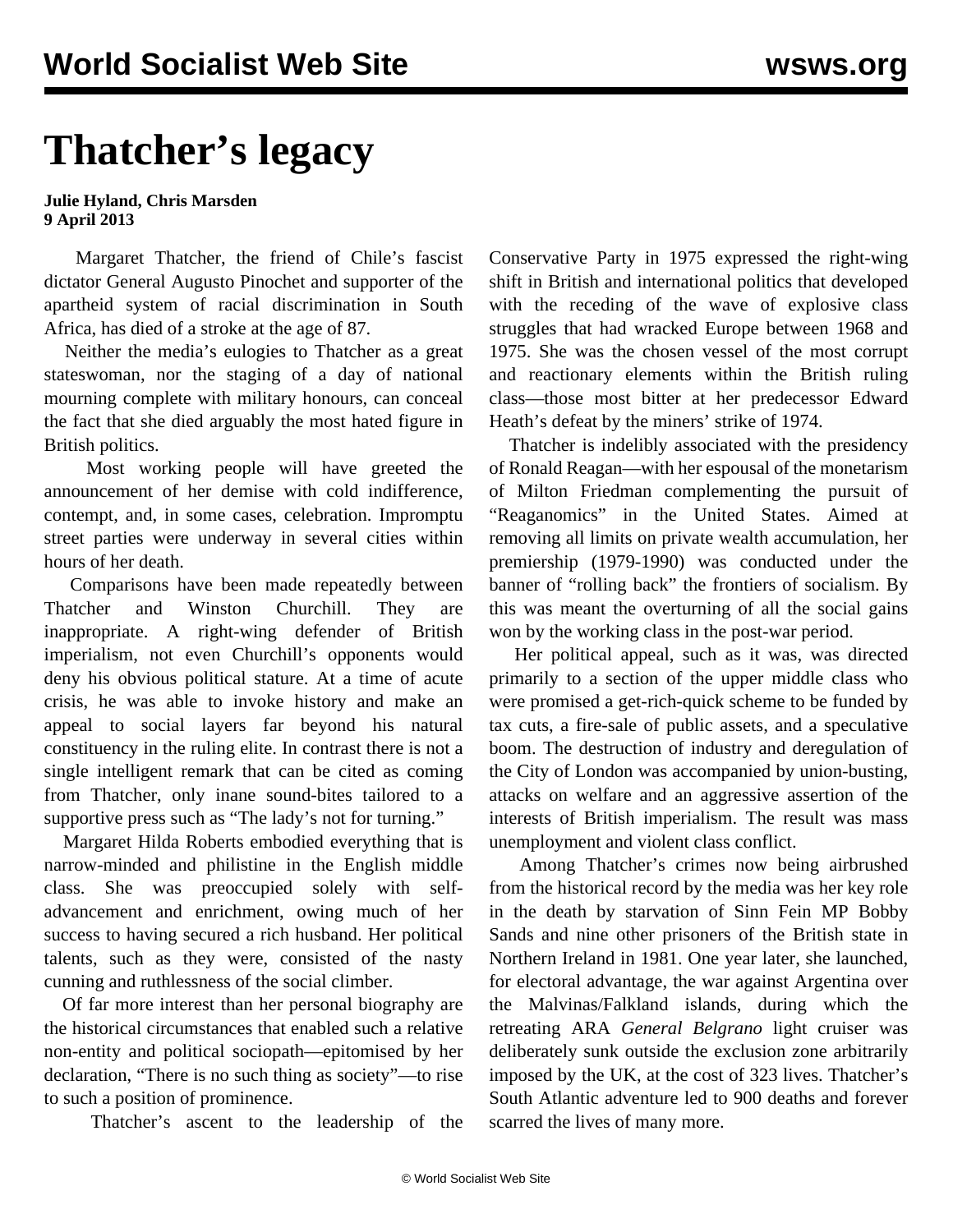## **Thatcher's legacy**

## **Julie Hyland, Chris Marsden 9 April 2013**

 Margaret Thatcher, the friend of Chile's fascist dictator General Augusto Pinochet and supporter of the apartheid system of racial discrimination in South Africa, has died of a stroke at the age of 87.

 Neither the media's eulogies to Thatcher as a great stateswoman, nor the staging of a day of national mourning complete with military honours, can conceal the fact that she died arguably the most hated figure in British politics.

 Most working people will have greeted the announcement of her demise with cold indifference, contempt, and, in some cases, celebration. Impromptu street parties were underway in several cities within hours of her death.

 Comparisons have been made repeatedly between Thatcher and Winston Churchill. They are inappropriate. A right-wing defender of British imperialism, not even Churchill's opponents would deny his obvious political stature. At a time of acute crisis, he was able to invoke history and make an appeal to social layers far beyond his natural constituency in the ruling elite. In contrast there is not a single intelligent remark that can be cited as coming from Thatcher, only inane sound-bites tailored to a supportive press such as "The lady's not for turning."

 Margaret Hilda Roberts embodied everything that is narrow-minded and philistine in the English middle class. She was preoccupied solely with selfadvancement and enrichment, owing much of her success to having secured a rich husband. Her political talents, such as they were, consisted of the nasty cunning and ruthlessness of the social climber.

 Of far more interest than her personal biography are the historical circumstances that enabled such a relative non-entity and political sociopath—epitomised by her declaration, "There is no such thing as society"—to rise to such a position of prominence.

Thatcher's ascent to the leadership of the

Conservative Party in 1975 expressed the right-wing shift in British and international politics that developed with the receding of the wave of explosive class struggles that had wracked Europe between 1968 and 1975. She was the chosen vessel of the most corrupt and reactionary elements within the British ruling class—those most bitter at her predecessor Edward Heath's defeat by the miners' strike of 1974.

 Thatcher is indelibly associated with the presidency of Ronald Reagan—with her espousal of the monetarism of Milton Friedman complementing the pursuit of "Reaganomics" in the United States. Aimed at removing all limits on private wealth accumulation, her premiership (1979-1990) was conducted under the banner of "rolling back" the frontiers of socialism. By this was meant the overturning of all the social gains won by the working class in the post-war period.

 Her political appeal, such as it was, was directed primarily to a section of the upper middle class who were promised a get-rich-quick scheme to be funded by tax cuts, a fire-sale of public assets, and a speculative boom. The destruction of industry and deregulation of the City of London was accompanied by union-busting, attacks on welfare and an aggressive assertion of the interests of British imperialism. The result was mass unemployment and violent class conflict.

 Among Thatcher's crimes now being airbrushed from the historical record by the media was her key role in the death by starvation of Sinn Fein MP Bobby Sands and nine other prisoners of the British state in Northern Ireland in 1981. One year later, she launched, for electoral advantage, the war against Argentina over the Malvinas/Falkland islands, during which the retreating ARA *General Belgrano* light cruiser was deliberately sunk outside the exclusion zone arbitrarily imposed by the UK, at the cost of 323 lives. Thatcher's South Atlantic adventure led to 900 deaths and forever scarred the lives of many more.